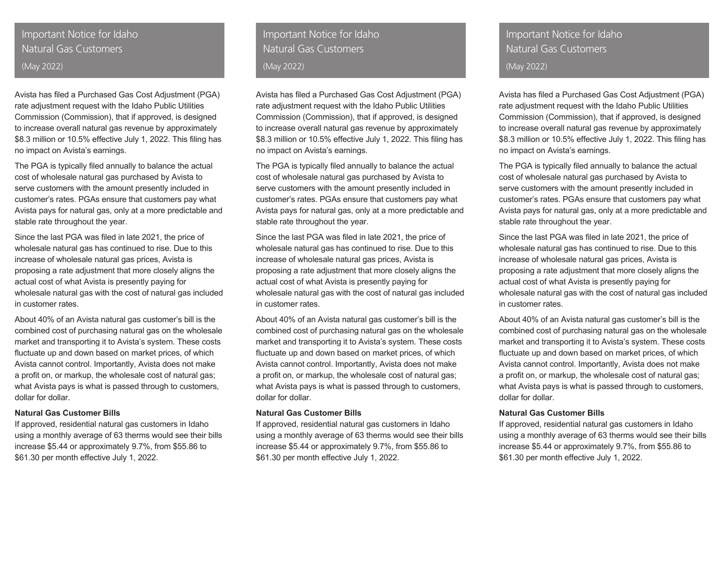# Important Notice for Idaho Natural Gas Customers (May 2022)

Avista has filed a Purchased Gas Cost Adjustment (PGA) rate adjustment request with the Idaho Public Utilities Commission (Commission), that if approved, is designed to increase overall natural gas revenue by approximately \$8.3 million or 10.5% effective July 1, 2022. This filing has no impact on Avista's earnings.

The PGA is typically filed annually to balance the actual cost of wholesale natural gas purchased by Avista to serve customers with the amount presently included in customer's rates. PGAs ensure that customers pay what Avista pays for natural gas, only at a more predictable and stable rate throughout the year.

Since the last PGA was filed in late 2021, the price of wholesale natural gas has continued to rise. Due to this increase of wholesale natural gas prices, Avista is proposing a rate adjustment that more closely aligns the actual cost of what Avista is presently paying for wholesale natural gas with the cost of natural gas included in customer rates.

About 40% of an Avista natural gas customer's bill is the combined cost of purchasing natural gas on the wholesale market and transporting it to Avista's system. These costs fluctuate up and down based on market prices, of which Avista cannot control. Importantly, Avista does not make a profit on, or markup, the wholesale cost of natural gas; what Avista pays is what is passed through to customers, dollar for dollar.

#### **Natural Gas Customer Bills**

If approved, residential natural gas customers in Idaho using a monthly average of 63 therms would see their bills increase \$5.44 or approximately 9.7%, from \$55.86 to \$61.30 per month effective July 1, 2022.

Important Notice for Idaho Natural Gas Customers (May 2022)

Avista has filed a Purchased Gas Cost Adjustment (PGA) rate adjustment request with the Idaho Public Utilities Commission (Commission), that if approved, is designed to increase overall natural gas revenue by approximately \$8.3 million or 10.5% effective July 1, 2022. This filing has no impact on Avista's earnings.

The PGA is typically filed annually to balance the actual cost of wholesale natural gas purchased by Avista to serve customers with the amount presently included in customer's rates. PGAs ensure that customers pay what Avista pays for natural gas, only at a more predictable and stable rate throughout the year.

Since the last PGA was filed in late 2021, the price of wholesale natural gas has continued to rise. Due to this increase of wholesale natural gas prices, Avista is proposing a rate adjustment that more closely aligns the actual cost of what Avista is presently paying for wholesale natural gas with the cost of natural gas included in customer rates.

About 40% of an Avista natural gas customer's bill is the combined cost of purchasing natural gas on the wholesale market and transporting it to Avista's system. These costs fluctuate up and down based on market prices, of which Avista cannot control. Importantly, Avista does not make a profit on, or markup, the wholesale cost of natural gas; what Avista pays is what is passed through to customers, dollar for dollar.

#### **Natural Gas Customer Bills**

If approved, residential natural gas customers in Idaho using a monthly average of 63 therms would see their bills increase \$5.44 or approximately 9.7%, from \$55.86 to \$61.30 per month effective July 1, 2022.

# Important Notice for Idaho Natural Gas Customers (May 2022)

Avista has filed a Purchased Gas Cost Adjustment (PGA) rate adjustment request with the Idaho Public Utilities Commission (Commission), that if approved, is designed to increase overall natural gas revenue by approximately \$8.3 million or 10.5% effective July 1, 2022. This filing has no impact on Avista's earnings.

The PGA is typically filed annually to balance the actual cost of wholesale natural gas purchased by Avista to serve customers with the amount presently included in customer's rates. PGAs ensure that customers pay what Avista pays for natural gas, only at a more predictable and stable rate throughout the year.

Since the last PGA was filed in late 2021, the price of wholesale natural gas has continued to rise. Due to this increase of wholesale natural gas prices, Avista is proposing a rate adjustment that more closely aligns the actual cost of what Avista is presently paying for wholesale natural gas with the cost of natural gas included in customer rates.

About 40% of an Avista natural gas customer's bill is the combined cost of purchasing natural gas on the wholesale market and transporting it to Avista's system. These costs fluctuate up and down based on market prices, of which Avista cannot control. Importantly, Avista does not make a profit on, or markup, the wholesale cost of natural gas; what Avista pays is what is passed through to customers, dollar for dollar.

#### **Natural Gas Customer Bills**

If approved, residential natural gas customers in Idaho using a monthly average of 63 therms would see their bills increase \$5.44 or approximately 9.7%, from \$55.86 to \$61.30 per month effective July 1, 2022.